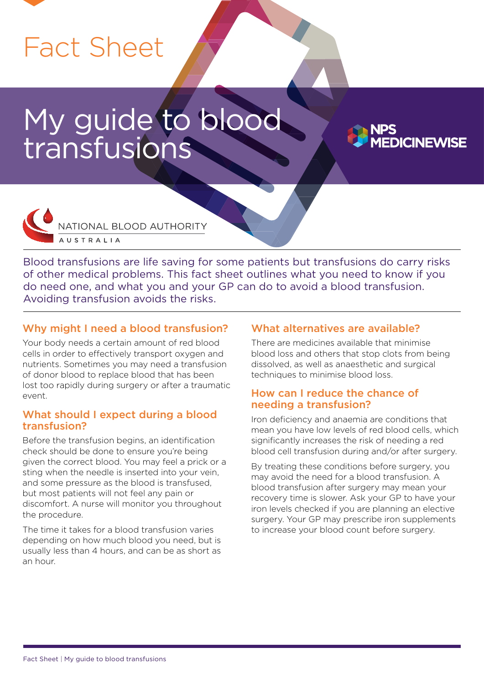# Fact Sheet

# My guide to blood transfusions





Blood transfusions are life saving for some patients but transfusions do carry risks of other medical problems. This fact sheet outlines what you need to know if you do need one, and what you and your GP can do to avoid a blood transfusion. Avoiding transfusion avoids the risks.

# Why might I need a blood transfusion?

Your body needs a certain amount of red blood cells in order to effectively transport oxygen and nutrients. Sometimes you may need a transfusion of donor blood to replace blood that has been lost too rapidly during surgery or after a traumatic event.

#### What should I expect during a blood transfusion?

Before the transfusion begins, an identification check should be done to ensure you're being given the correct blood. You may feel a prick or a sting when the needle is inserted into your vein, and some pressure as the blood is transfused, but most patients will not feel any pain or discomfort. A nurse will monitor you throughout the procedure.

The time it takes for a blood transfusion varies depending on how much blood you need, but is usually less than 4 hours, and can be as short as an hour.

### What alternatives are available?

There are medicines available that minimise blood loss and others that stop clots from being dissolved, as well as anaesthetic and surgical techniques to minimise blood loss.

### How can I reduce the chance of needing a transfusion?

Iron deficiency and anaemia are conditions that mean you have low levels of red blood cells, which significantly increases the risk of needing a red blood cell transfusion during and/or after surgery.

By treating these conditions before surgery, you may avoid the need for a blood transfusion. A blood transfusion after surgery may mean your recovery time is slower. Ask your GP to have your iron levels checked if you are planning an elective surgery. Your GP may prescribe iron supplements to increase your blood count before surgery.